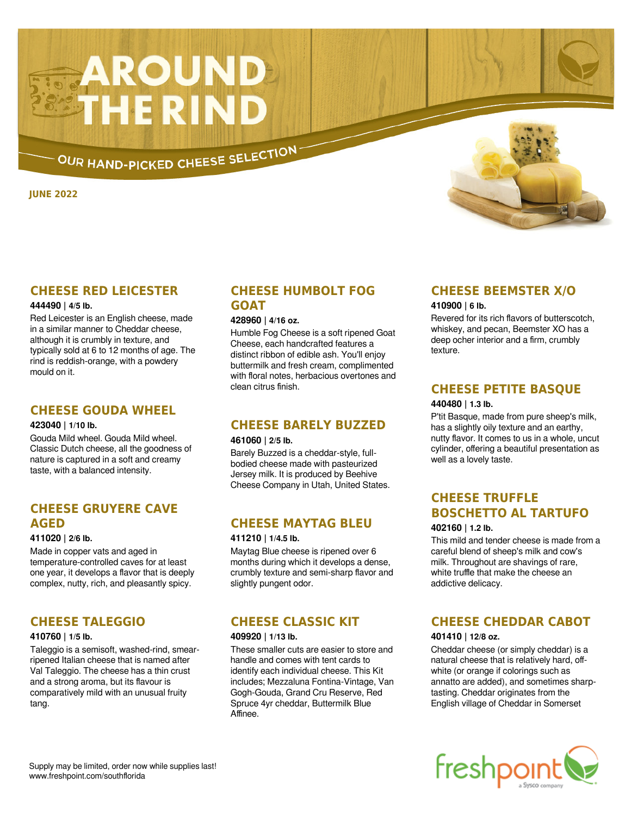# **AROUND**<br>THE RIND

OUR HAND-PICKED CHEESE SELECTION

**JUNE 2022**

# **CHEESE RED LEICESTER**

## **444490 | 4/5 lb.**

Red Leicester is an English cheese, made in a similar manner to Cheddar cheese, although it is crumbly in texture, and typically sold at 6 to 12 months of age. The rind is reddish-orange, with a powdery mould on it.

## **CHEESE GOUDA WHEEL**

## **423040 | 1/10 lb.**

Gouda Mild wheel. Gouda Mild wheel. Classic Dutch cheese, all the goodness of nature is captured in a soft and creamy taste, with a balanced intensity.

# **CHEESE GRUYERE CAVE AGED**

## **411020 | 2/6 lb.**

Made in copper vats and aged in temperature-controlled caves for at least one year, it develops a flavor that is deeply complex, nutty, rich, and pleasantly spicy.

# **CHEESE TALEGGIO**

## **410760 | 1/5 lb.**

Taleggio is a semisoft, washed-rind, smearripened Italian cheese that is named after Val Taleggio. The cheese has a thin crust and a strong aroma, but its flavour is comparatively mild with an unusual fruity tang.

# **CHEESE HUMBOLT FOG GOAT**

## **428960 | 4/16 oz.**

Humble Fog Cheese is a soft ripened Goat Cheese, each handcrafted features a distinct ribbon of edible ash. You'll enjoy buttermilk and fresh cream, complimented with floral notes, herbacious overtones and clean citrus finish.

## **CHEESE BARELY BUZZED**

### **461060 | 2/5 lb.**

Barely Buzzed is a cheddar-style, fullbodied cheese made with pasteurized Jersey milk. It is produced by Beehive Cheese Company in Utah, United States.

# **CHEESE MAYTAG BLEU**

#### **411210 | 1/4.5 lb.**

Maytag Blue cheese is ripened over 6 months during which it develops a dense, crumbly texture and semi-sharp flavor and slightly pungent odor.

# **CHEESE CLASSIC KIT**

## **409920 | 1/13 lb.**

These smaller cuts are easier to store and handle and comes with tent cards to identify each individual cheese. This Kit includes; Mezzaluna Fontina-Vintage, Van Gogh-Gouda, Grand Cru Reserve, Red Spruce 4yr cheddar, Buttermilk Blue Affinee.

## **CHEESE BEEMSTER X/O**

## **410900 | 6 lb.**

Revered for its rich flavors of butterscotch, whiskey, and pecan, Beemster XO has a deep ocher interior and a firm, crumbly texture.

# **CHEESE PETITE BASQUE**

## **440480 | 1.3 lb.**

P'tit Basque, made from pure sheep's milk, has a slightly oily texture and an earthy, nutty flavor. It comes to us in a whole, uncut cylinder, offering a beautiful presentation as well as a lovely taste.

# **CHEESE TRUFFLE BOSCHETTO AL TARTUFO**

## **402160 | 1.2 lb.**

This mild and tender cheese is made from a careful blend of sheep's milk and cow's milk. Throughout are shavings of rare, white truffle that make the cheese an addictive delicacy.

# **CHEESE CHEDDAR CABOT**

## **401410 | 12/8 oz.**

Cheddar cheese (or simply cheddar) is a natural cheese that is relatively hard, offwhite (or orange if colorings such as annatto are added), and sometimes sharptasting. Cheddar originates from the English village of Cheddar in Somerset